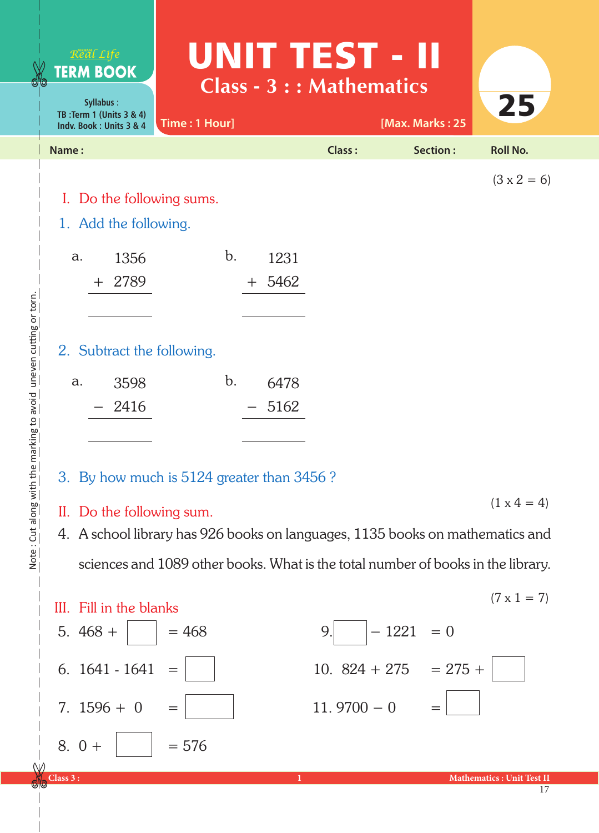|                                          | Real Life<br><b>TERM BOOK</b><br>Syllabus:<br>TB: Term 1 (Units 3 & 4)<br>Indv. Book: Units 3 & 4 | UNIT TEST - II<br>Class - 3 : : Mathematics<br>Time: 1 Hour] |        | [Max. Marks: 25  | 25                 |
|------------------------------------------|---------------------------------------------------------------------------------------------------|--------------------------------------------------------------|--------|------------------|--------------------|
|                                          | Name:                                                                                             |                                                              | Class: | Section:         | <b>Roll No.</b>    |
|                                          | I. Do the following sums.<br>1. Add the following.                                                |                                                              |        |                  | $(3 \times 2 = 6)$ |
|                                          | 1356<br>a.                                                                                        | b.<br>1231                                                   |        |                  |                    |
|                                          | 2789<br>$+$                                                                                       | 5462<br>$+$                                                  |        |                  |                    |
|                                          | 2. Subtract the following.                                                                        |                                                              |        |                  |                    |
|                                          | a.<br>3598                                                                                        | b.<br>6478                                                   |        |                  |                    |
| marking to avoid uneven cutting or torn. | 2416                                                                                              | 5162                                                         |        |                  |                    |
|                                          | 3. By how much is 5124 greater than 3456?                                                         |                                                              |        |                  |                    |
|                                          | $(1 \times 4 = 4)$<br>Do the following sum.<br>П.                                                 |                                                              |        |                  |                    |
| Note: Cut along with the                 | 4. A school library has 926 books on languages, 1135 books on mathematics and                     |                                                              |        |                  |                    |
|                                          | sciences and 1089 other books. What is the total number of books in the library.                  |                                                              |        |                  |                    |
|                                          | Fill in the blanks<br>Ш.                                                                          |                                                              |        |                  | $(7 \times 1 = 7)$ |
|                                          | $468 +$<br>5.                                                                                     | $= 468$                                                      | 9.     | $-1221$<br>$= 0$ |                    |